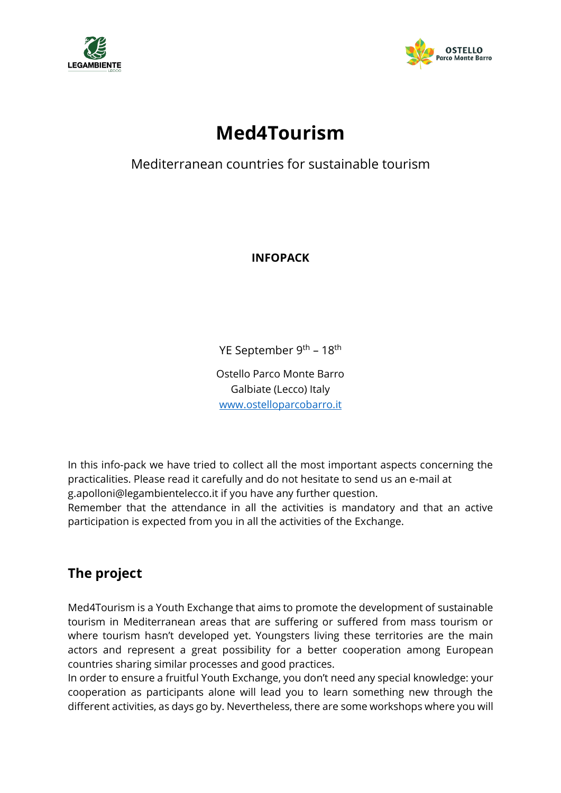



# **Med4Tourism**

Mediterranean countries for sustainable tourism

**INFOPACK** 

YE September 9<sup>th</sup> – 18<sup>th</sup>

Ostello Parco Monte Barro Galbiate (Lecco) Italy [www.ostelloparcobarro.it](http://www.ostelloparcobarro.it/)

In this info-pack we have tried to collect all the most important aspects concerning the practicalities. Please read it carefully and do not hesitate to send us an e-mail at g.apolloni@legambientelecco.it if you have any further question.

Remember that the attendance in all the activities is mandatory and that an active participation is expected from you in all the activities of the Exchange.

# **The project**

Med4Tourism is a Youth Exchange that aims to promote the development of sustainable tourism in Mediterranean areas that are suffering or suffered from mass tourism or where tourism hasn't developed yet. Youngsters living these territories are the main actors and represent a great possibility for a better cooperation among European countries sharing similar processes and good practices.

In order to ensure a fruitful Youth Exchange, you don't need any special knowledge: your cooperation as participants alone will lead you to learn something new through the different activities, as days go by. Nevertheless, there are some workshops where you will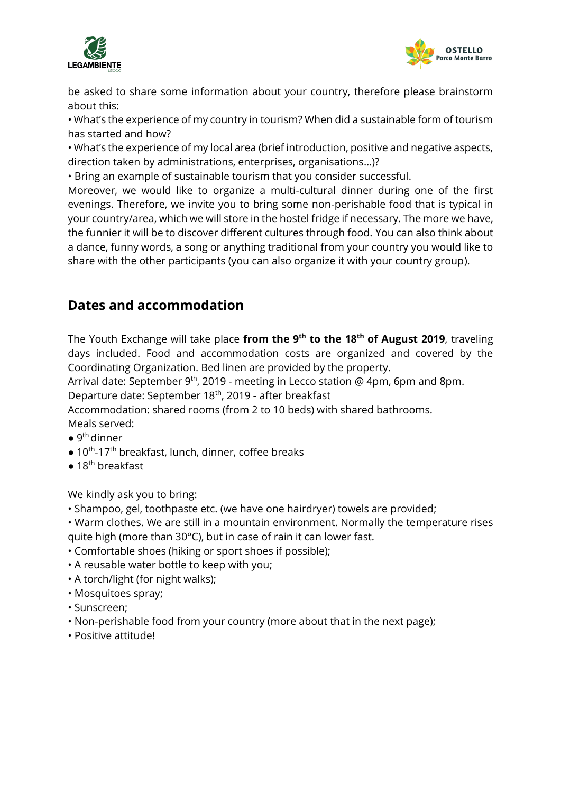



be asked to share some information about your country, therefore please brainstorm about this:

• What's the experience of my country in tourism? When did a sustainable form of tourism has started and how?

• What's the experience of my local area (brief introduction, positive and negative aspects, direction taken by administrations, enterprises, organisations…)?

• Bring an example of sustainable tourism that you consider successful.

Moreover, we would like to organize a multi-cultural dinner during one of the first evenings. Therefore, we invite you to bring some non-perishable food that is typical in your country/area, which we will store in the hostel fridge if necessary. The more we have, the funnier it will be to discover different cultures through food. You can also think about a dance, funny words, a song or anything traditional from your country you would like to share with the other participants (you can also organize it with your country group).

### **Dates and accommodation**

The Youth Exchange will take place **from the 9th to the 18th of August 2019**, traveling days included. Food and accommodation costs are organized and covered by the Coordinating Organization. Bed linen are provided by the property.

Arrival date: September 9<sup>th</sup>, 2019 - meeting in Lecco station @ 4pm, 6pm and 8pm.

Departure date: September 18<sup>th</sup>, 2019 - after breakfast

Accommodation: shared rooms (from 2 to 10 beds) with shared bathrooms. Meals served:

- $\bullet$  9<sup>th</sup> dinner
- $\bullet$  10<sup>th</sup>-17<sup>th</sup> breakfast, lunch, dinner, coffee breaks
- $\bullet$  18<sup>th</sup> breakfast

We kindly ask you to bring:

- Shampoo, gel, toothpaste etc. (we have one hairdryer) towels are provided;
- Warm clothes. We are still in a mountain environment. Normally the temperature rises quite high (more than 30°C), but in case of rain it can lower fast.
- Comfortable shoes (hiking or sport shoes if possible);
- A reusable water bottle to keep with you;
- A torch/light (for night walks);
- Mosquitoes spray;
- Sunscreen;
- Non-perishable food from your country (more about that in the next page);
- Positive attitude!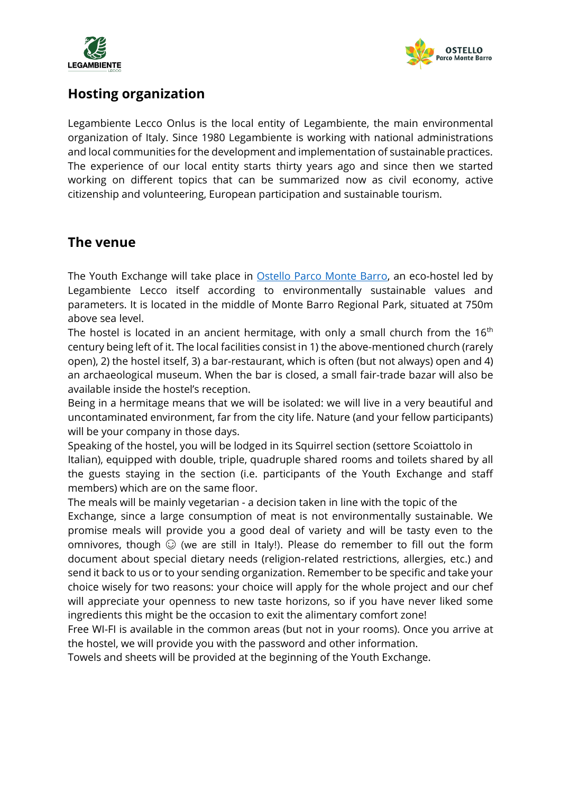



#### **Hosting organization**

Legambiente Lecco Onlus is the local entity of Legambiente, the main environmental organization of Italy. Since 1980 Legambiente is working with national administrations and local communities for the development and implementation of sustainable practices. The experience of our local entity starts thirty years ago and since then we started working on different topics that can be summarized now as civil economy, active citizenship and volunteering, European participation and sustainable tourism.

#### **The venue**

The Youth Exchange will take place in [Ostello Parco Monte Barro,](http://www.ostelloparcobarro.it/?lang=en) an eco-hostel led by Legambiente Lecco itself according to environmentally sustainable values and parameters. It is located in the middle of Monte Barro Regional Park, situated at 750m above sea level.

The hostel is located in an ancient hermitage, with only a small church from the  $16<sup>th</sup>$ century being left of it. The local facilities consist in 1) the above-mentioned church (rarely open), 2) the hostel itself, 3) a bar-restaurant, which is often (but not always) open and 4) an archaeological museum. When the bar is closed, a small fair-trade bazar will also be available inside the hostel's reception.

Being in a hermitage means that we will be isolated: we will live in a very beautiful and uncontaminated environment, far from the city life. Nature (and your fellow participants) will be your company in those days.

Speaking of the hostel, you will be lodged in its Squirrel section (settore Scoiattolo in Italian), equipped with double, triple, quadruple shared rooms and toilets shared by all the guests staying in the section (i.e. participants of the Youth Exchange and staff members) which are on the same floor.

The meals will be mainly vegetarian - a decision taken in line with the topic of the Exchange, since a large consumption of meat is not environmentally sustainable. We promise meals will provide you a good deal of variety and will be tasty even to the omnivores, though  $\odot$  (we are still in Italy!). Please do remember to fill out the form document about special dietary needs (religion-related restrictions, allergies, etc.) and send it back to us or to your sending organization. Remember to be specific and take your choice wisely for two reasons: your choice will apply for the whole project and our chef will appreciate your openness to new taste horizons, so if you have never liked some ingredients this might be the occasion to exit the alimentary comfort zone!

Free WI-FI is available in the common areas (but not in your rooms). Once you arrive at the hostel, we will provide you with the password and other information.

Towels and sheets will be provided at the beginning of the Youth Exchange.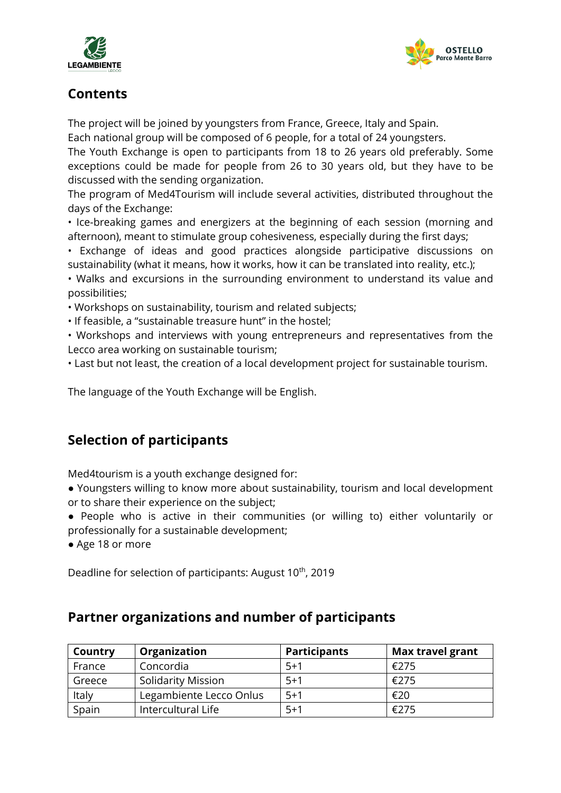



## **Contents**

The project will be joined by youngsters from France, Greece, Italy and Spain.

Each national group will be composed of 6 people, for a total of 24 youngsters.

The Youth Exchange is open to participants from 18 to 26 years old preferably. Some exceptions could be made for people from 26 to 30 years old, but they have to be discussed with the sending organization.

The program of Med4Tourism will include several activities, distributed throughout the days of the Exchange:

• Ice-breaking games and energizers at the beginning of each session (morning and afternoon), meant to stimulate group cohesiveness, especially during the first days;

• Exchange of ideas and good practices alongside participative discussions on sustainability (what it means, how it works, how it can be translated into reality, etc.);

• Walks and excursions in the surrounding environment to understand its value and possibilities;

• Workshops on sustainability, tourism and related subjects;

• If feasible, a "sustainable treasure hunt" in the hostel;

• Workshops and interviews with young entrepreneurs and representatives from the Lecco area working on sustainable tourism;

• Last but not least, the creation of a local development project for sustainable tourism.

The language of the Youth Exchange will be English.

# **Selection of participants**

Med4tourism is a youth exchange designed for:

● Youngsters willing to know more about sustainability, tourism and local development or to share their experience on the subject;

● People who is active in their communities (or willing to) either voluntarily or professionally for a sustainable development;

● Age 18 or more

Deadline for selection of participants: August 10<sup>th</sup>, 2019

#### **Partner organizations and number of participants**

| Country | Organization              | <b>Participants</b> | <b>Max travel grant</b> |
|---------|---------------------------|---------------------|-------------------------|
| France  | Concordia                 | $5+1$               | €275                    |
| Greece  | <b>Solidarity Mission</b> | $5+1$               | €275                    |
| Italy   | Legambiente Lecco Onlus   | $5+1$               | €20                     |
| Spain   | Intercultural Life        | $5+1$               | €275                    |